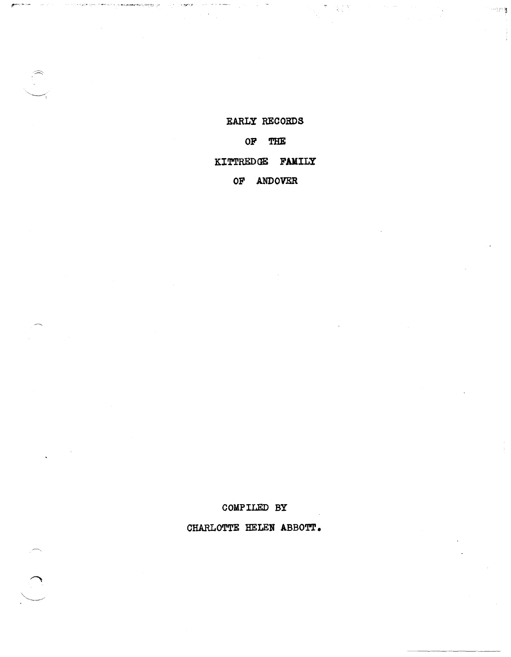## EARLY RECORDS

ومعهد

10km (1) 이 10km (1) 이 10km (1) 이 10km (1) 이 10km (1) 이 10km (1) 이 10km (1) 이 10km (1) 이 10km (1) 이 10km (1) 이

the control of the second second the second

## OF THE

# KITTREDGE FAMILY

## OF ANDOVER

COMPILED BY

CHARLOTTE HELEN ABBOTT.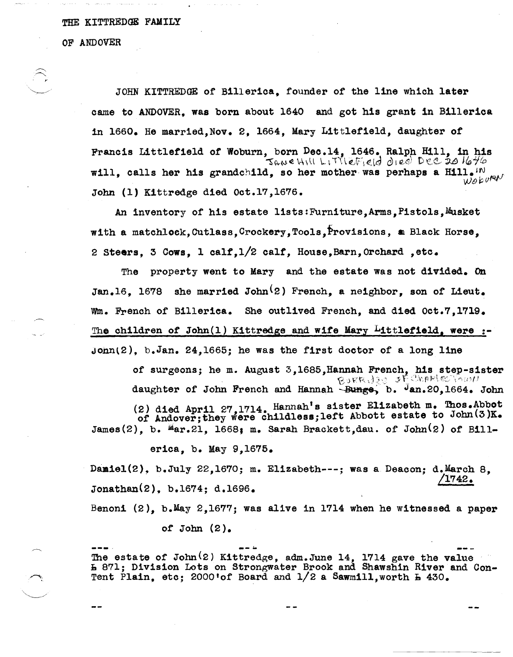#### THE KITTREDGE FAMILY

OF ANDOVER

y  $\searrow$  .  $\searrow$  .

JOHN KITTREDGE or Billerica, rounder of the line which later came to ANDOVER, was born about 1640 and got his grant in Billerica 1n 1660. He married, Nov. 2, 1664, Mary Littlefield, daughter of Francis Littlefield of Woburn, born Dec.14, 1646. Ralph Hill, in his will, calls her his grandchild, so her mother was perhaps a Hill.<sup>IN</sup>  $W^{\beta}$  $5$  ane HIII LITTIEFIEld died Dee 20  $1646$ John (1) Kittredge died Oct.17,1676.

An inventory of his estate lists: Furniture, Arms, Pistols, Musket with a matchlock, Cutlass, Crockery, Tools, Provisions, a Black Horse, 2 Steers, 3 Cows, 1 calf, 1/2 calf, House, Barn, Orchard, etc.

The property went to Mary and the estate was not divided. On Jan.16. 1678 she married John<sup>(2)</sup> French, a neighbor, son of Lieut. wm. French of Billerica. She outlived French, and died Oct.7,1719. The children of John $(1)$  Kittredge and wife Mary Littlefield, were :- $Jonn(2)$ , b.Jan. 24,1665; he was the first doctor of a long line

of surgeons; he m. August 3,1685, Hannah French, his step-sister  $\beta_{\text{SFR}}$ ,  $\beta_{\text{S}}$  of  $\text{Ceff}$ ,  $\text{Ceff}$  an.20,1664. John daughter of John French and Hannah ~ Bunge, b.  $J$ an.20,1664. John

(2) died April 27,1714. Hannah's sister Elizabeth m. Thos.Abbot of Andover; they were childless; left Abbott estate to John(3)K. James(2), b.  $^{\mu}$ ar.21, 1668; m. Sarah Brackett,dau. of John(2) of Bill-

erica, b. May 9,1675.

Damiel(2), b.July 22,1670; m. Elizabeth---; was a Deacon; d.March 8. /1742. Jonathan(2), b.1674; d.1696.

Benoni  $(2)$ , b.May 2,1677; was alive in 1714 when he witnessed a paper

of John *(Z).* 

The estate of John<sup>(2)</sup> Kittredge, adm.June 14, 1714 gave the value L 871; Division Lots on Strongwater Brook and Shawshin River and Con-Tent Plain,  $etc: 2000$ 'of Board and  $1/2$  a Sawmill, worth  $E = 430$ .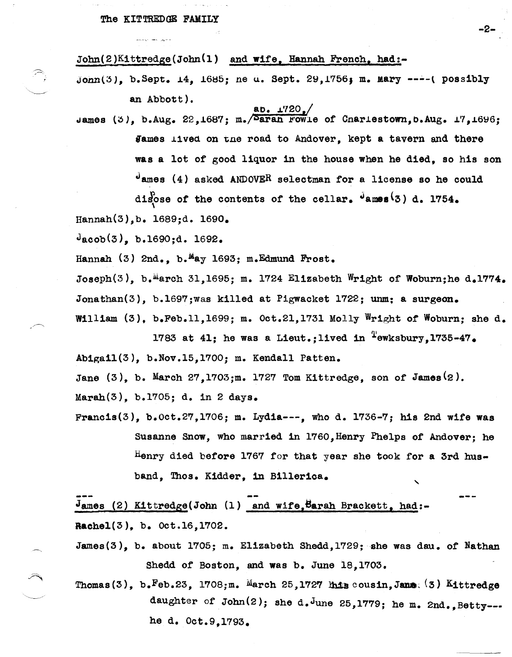'~

 $John(2)K1ttredge(John(1)$  and wife, Hannah French, had:-

 $John(3)$ , b.Sept. 14, 1685; ne u. Sept. 29,1756; m. Mary ----(possibly an Abbott).  $aD + 1720$ 

James (3), b.Aug. 22,1687; m.  $\sqrt{\text{5aran}}$  rowle of Cnariestown, b.Aug. 17,1696; James lived on the road to Andover, kept a tavern and there was a lot of good liquor in the house when he died, so his son  $J$ ames (4) asked ANDOVER selectman for a license so he could disose of the contents of the cellar.  $\frac{1}{2}$  ames<sup>(3)</sup> d. 1754. Hannah(3),b. l689;d. 1690.

 $J_{\text{acob}}(3)$ , b.1690;d. 1692.

Hannah  $(3)$  2nd., b.<sup>M</sup>ay 1693; m.Edmund Frost.

Joseph(3), b.<sup>m</sup>arch 31,1695; m. 1724 Elizabeth Wright of Woburn;he d.1774. Jonathan(3), b.1697; was killed at Pigwacket 1722; unm; a surgeon. William (3), b.Feb.11,1699; m. Oct.21,1731 Molly Wright of Woburn; she d.

1783 at 41; he was a Lieut.; lived in  $\frac{1}{2}$ ewksbury, 1735-47. Abigai1(3), b.Nov.15,l'700; m. Kendall Patten.

Jane (3), b. March 2'7,1'703;m. 1'72'7 Tom Kittredge, son *ot* James(2).

Marah(3), b.l'705; d. in 2 days.

Francis(3), b.Oct.27,1706; m. Lydia---, who d. 1736-7; his 2nd wife was Susanne Snow, who married in 1760, Henry Phelps of Andover; he Henry died before 1767 for that year she took for a 3rd husband, Thos. Kidder, in Billerica.  $\ddot{\phantom{0}}$ 

 $J$ ames (2) Kittredge(John (1) and wife, Barah Brackett, had:-Rachel(3), b. Oct.16,1702.

James(3), b. about 1705; m. Elizabeth Shedd, 1729; she was dau. of Nathan Shedd of Boston, and was b. June 18,1703.

Thomas(3), b. Feb. 23, 1708; m. March 25, 1727  $\mu_{2}$  cousin, Jane: (3) Kittredge daughter of John $(2)$ ; she d.June 25,1779; he m. 2nd., Betty--he d. Oct.9,l'793.

-2-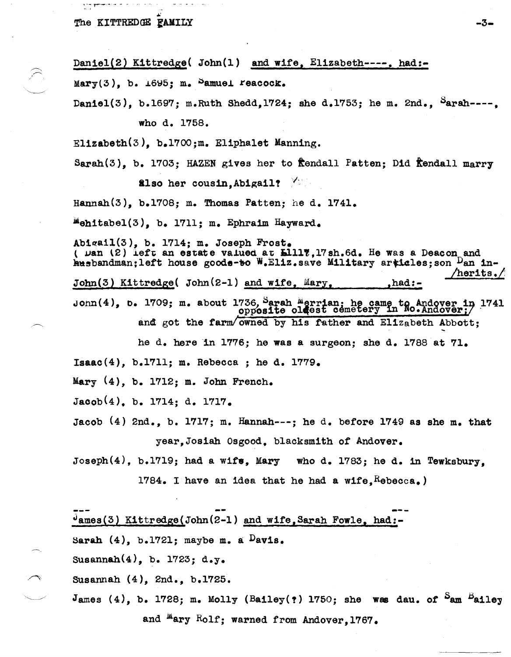Daniel(2) Kittredge( John(1) and wife, Elizabeth----. had:-Mary(3), b.  $1695$ ; m. Samuel reacock. Daniel(3), b.1697; m.Ruth Shedd, 1724; she d.1753; he m. 2nd., Sarah----. who d. 1758. Elizabeth(3), b.1700;m. Eliphalet Manning. Sarah(3). b. 1703: HAZEN gives her to frendall Patten: Did frendall marry also her cousin. Abigail? Hannah $(3)$ , b.1708; m. Thomas Patten; he d. 1741. "ehitabel(3), b. 1711; m. Ephraim Hayward. Abigail $(3)$ , b. 1714; m. Joseph Frost. ( Dan (2) left an estate valued at L1117, 17sh.6d. He was a Deacon and husbandman;left house goods-to W.Eliz.save Military articles; son Dan in-/herits./ John(3) Kittredge( John(2-1) and wife, Mary, ,had:-John(4), b. 1709; m. about 1736, Sarah Merrian; he came to Andover in 1741 opposite oldest cemetery in No. Andover; and got the farm/owned by his father and Elizabeth Abbott; he d. here in 1776; he was a surgeon; she d. 1788 at 71. Isaac(4), b.1711; m. Rebecca; he d. 1779. Mary  $(4)$ , b. 1712; m. John French.  $Jacob(4)$ , b. 1714; d. 1717. Jacob  $(4)$  2nd., b. 1717; m. Hannah---; he d. before 1749 as she m. that year. Josiah Osgood. blacksmith of Andover. Joseph $(4)$ , b.1719; had a wife, Mary who d. 1783; he d. in Tewksbury, 1784. I have an idea that he had a wife,  $R$ ebecca.) dames(3) Kittredge(John(2-1) and wife, Sarah Fowle, had:-Sarah  $(4)$ , b.1721; maybe m. a  $Davis.$ Susannah $(4)$ , b. 1723; d.y. Susannah (4), 2nd., b.1725. James (4), b. 1728; m. Molly (Bailey(?) 1750; she was dau. of  $S_{\text{am}}$  Bailey

-3-

and <sup>m</sup>ary Rolf; warned from Andover.1767.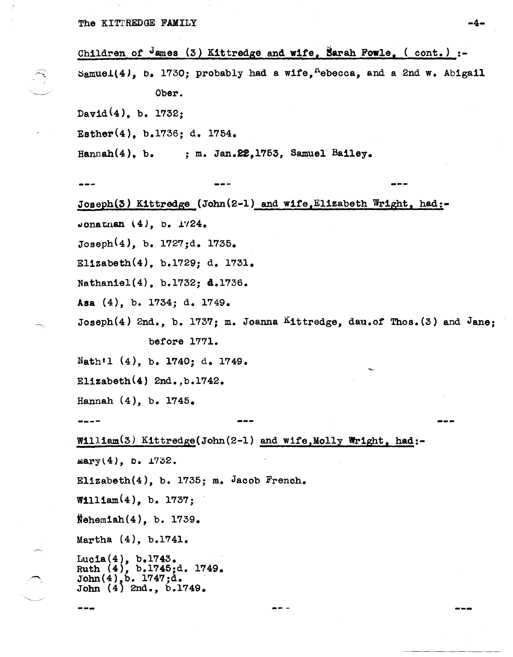Children of  $J$ ames (3) Kittredge and wife, Sarah Fowle, ( cont.) :- $\texttt{Samuel}(4)$ , b. 1730; probably had a wife,  $\texttt{A}$ becca, and a 2nd w. Abigail Ober.  $David(4)$ , b. 1732; Esther(4), b.1736; d. 1754. Hannah $(4)$ , b. ; m. Jan.22,1753, Samuel Bailey. --- Joseph(3) Kittredge (John(2-1) and wife, Elizabeth Wright, had:-Jonathan  $(4)$ , b. 1724. Joseph(4), b. 1727;d. 1735. Elizabeth(4), b.1729; d. 1731. Nathaniel(4), b.1732; 4.1736. Asa (4), b. 1734; d. 1749. Joseph(4) 2nd., b. 1737; m. Joanna Kittredge, dau.of Thos.(3) and Jane; before 1771. Nath<sup>'1</sup> (4), b. 1740; d. 1749. Elizabeth $(4)$  2nd., b.1742. Hannah  $(4)$ , b. 1745. **----** William(3) Kittredge(John(2-1) and wife,Molly Wright, had:- $\texttt{mary(4)}$ , b.  $\texttt{1732.}$ Elizabeth(4), b. 1735; m. Jacob French.  $W1111am(4)$ , b.  $1737$ ; Nehemiah $(4)$ , b. 1739. Martha (4), b.1741. Lucla(4), b.1743. Ruth  $(4)$ , b.1745;d. 1749. John  $(4)$ , b. 1747; d.<br>John  $(4)$  2nd., b. 1749. --- ---

---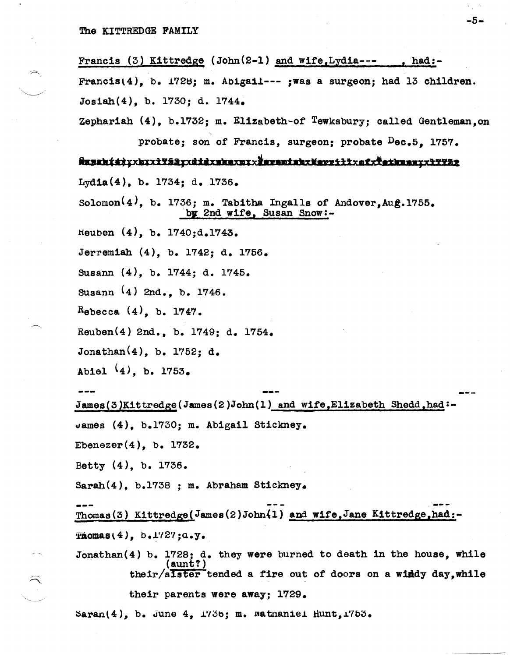Francis (3) Kittredge (Jobn(2-l) and wife,Lydia--- , had:- Francis $(4)$ , b. 1728; m. Abigail--- ;was a surgeon; had 13 children. Josiah(4), b. *1730j* d. 1744. Zephariah  $(4)$ , b.1732; m. Elizabeth-of Tewksbury; called Gentleman.on probate; son of Francis, surgeon; probate Dec.5, 1757. iusaht4);xbxx1Y51;xdidxaasaxxxiarantabxNexriilxefx#ethnen;x1YY52 LydIa(4), b. 1734; d. 1736. Solomon $(4)$ , b. 1736; m. Tabitha Ingalls of Andover, Aug.1755. by 2nd wife, Susan Snow:rteuben (4), b. 1740;d.1743. Jerremiah (4), b. 1742; d. 1756. SUsann (4), b. 1744; d. 1745. SUsann (4) 2nd., b. 1746. Rebecca  $(4)$ , b. 1747. Reuben(4) 2nd., b. 1749; d. 1754. Jonathan(4), b. 1752; d. Abiel  $(4)$ , b. 1753. James(3)Kittredge(James(2)John(1) and wife,Elizabeth Shedd,had:uames (4), b.1730j m. AbIgail Stickney. Ebenezer $(4)$ , b. 1732. Betty (4), b. 1736. Sarah(4), b.1738 ; m. Abraham StIckney. Thomas(3) Kittredge(James(2)John(1) and wife,Jane Kittredge,had:-

 $\texttt{Thomas}(4)$ ,  $\texttt{b.1727;0.5}.$ 

Jonathan(4) b. 1728; d. they were burned to death in the house, while (aunt?) their/sister tended a fire out of doors on a windy day, while

their parents were away; 1729.

 $\texttt{Saran}(4)$ , b. June 4,  $\texttt{1736}$ ; m. watnaniel  $\texttt{Munt,1753}.$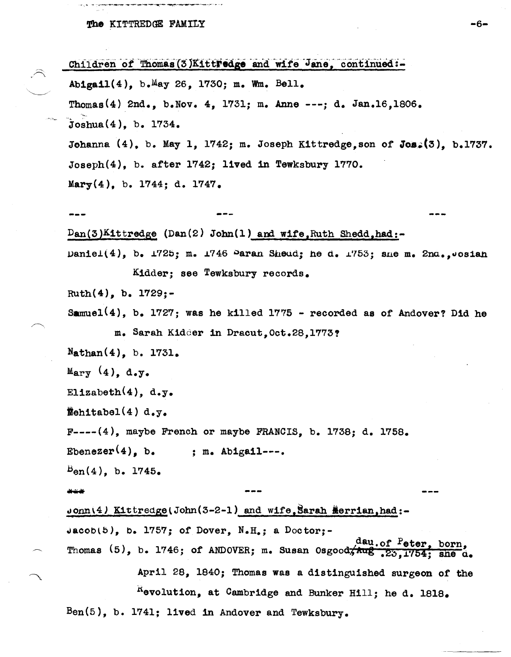ne ne

 $-1$  ,  $-1$  ,  $-1$  ,  $-1$ 

و دی.<br>سرمایی است که کار کار کار

 $\widehat{\frown}$ 

ý,

|                                          | Children of Thomas (3)KittFedge and wife Jane, continued:-                 |  |  |  |  |  |
|------------------------------------------|----------------------------------------------------------------------------|--|--|--|--|--|
|                                          | Abigail(4), b. May 26, 1730; m. Wm. Bell.                                  |  |  |  |  |  |
|                                          | Thomas (4) 2nd., b. Nov. 4, 1731; m. Anne ---; d. Jan. 16, 1806.           |  |  |  |  |  |
|                                          | Joshua(4), b. 1734.                                                        |  |  |  |  |  |
|                                          | Johanna (4), b. May 1, 1742; m. Joseph Kittredge, son of Jos. (3), b.1737. |  |  |  |  |  |
|                                          | $Joseph(4)$ , b. after 1742; lived in Tewksbury 1770.                      |  |  |  |  |  |
|                                          | Mary $(4)$ , b. 1744; d. 1747.                                             |  |  |  |  |  |
|                                          |                                                                            |  |  |  |  |  |
|                                          | $Dan(3)$ Kittredge (Dan(2) John(1) and wife, Ruth Shedd, had:-             |  |  |  |  |  |
|                                          | Daniel(4), b. 1725; m. 1746 Paran Sheud; he d. 1753; sne m. 2nd., Josian   |  |  |  |  |  |
|                                          | Kidder: see Tewksbury records.                                             |  |  |  |  |  |
|                                          | Ruth $(4)$ , b. 1729;-                                                     |  |  |  |  |  |
|                                          | Samuel(4), b. 1727; was he killed 1775 - recorded as of Andover? Did he    |  |  |  |  |  |
| m. Sarah Kidder in Dracut, Oct.28, 1773? |                                                                            |  |  |  |  |  |
|                                          | $N$ athan $(4)$ , b. 1731.                                                 |  |  |  |  |  |
|                                          | Mary (4), d.y.                                                             |  |  |  |  |  |
|                                          | Elizabeth $(4)$ , d.y.                                                     |  |  |  |  |  |
|                                          | $\texttt{Wehltabel}(4) d. y.$                                              |  |  |  |  |  |
|                                          | $F---(4)$ , maybe French or maybe FRANCIS, b. 1738; d. 1758.               |  |  |  |  |  |
|                                          | Ebenezer <sup>(4)</sup> , b. ; m. Abigail---.                              |  |  |  |  |  |
|                                          | $B_{en}(4)$ , b. 1745.                                                     |  |  |  |  |  |
|                                          | ***                                                                        |  |  |  |  |  |
|                                          | Jonn(4) Kittredge(John(3-2-1) and wife, Sarah Merrian, had:-               |  |  |  |  |  |
|                                          | $\texttt{uacob}(5)$ , b. 1757; of Dover, N.H.; a Doctor;-                  |  |  |  |  |  |
|                                          | Thomas (5), b. 1746; of ANDOVER; m. Susan Osgood, aug. of Peter, born,     |  |  |  |  |  |
|                                          | April 28, 1840; Thomas was a distinguished surgeon of the                  |  |  |  |  |  |
|                                          | Revolution, at Cambridge and Bunker Hill; he d. 1818.                      |  |  |  |  |  |
|                                          | $Ben(5)$ , b. 1741; lived in Andover and Tewksbury.                        |  |  |  |  |  |
|                                          |                                                                            |  |  |  |  |  |

 $-6-$ 

 $\hat{\boldsymbol{\theta}}$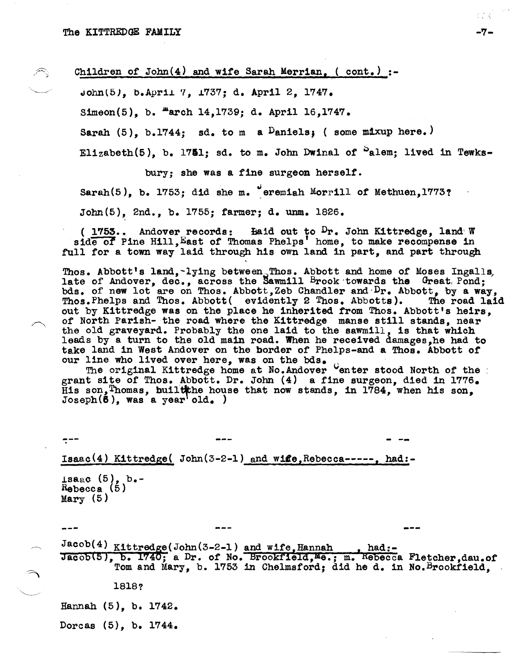Children of John $(4)$  and wife Sarah Merrian,  $($  cont. $)$  :-

 $John(5)$ , b.April 7, 1737; d. April 2, 1747.

Simeon(5), b.  $\texttt{March 14,1739; d. April 16,1747.}$ 

Sarah  $(5)$ , b.1744; sd. to m a  $D$ aniels; (some mixup here.)

Elizabeth(5), b. 1751; sd. to m. John Dwinal of  $^{\circ}$ alem; lived in Tewks-

bury; she was a tine surgeon herself.

Sarah(5), b. 1753; did she m. eremiah Morrill of Methuen,1773?

John(5), 2nd., b. 1755; farmer; d. unm. 1826.

( $1753...$  Andover records:  $141...$  Baid out to  $D_r$ . John Kittredge, land W side of Pine Hill, East of Thomas Phelps' home, to make recompense in full for a town way laid through his own land in part, and part through

Thos. Abbott's land,-lying between  $T$ hos. Abbott and home of Moses Ingalls, late of Andover, dec., across the Sawmill Brook towards the Great, Pond; bds. of new lot are on Thos. Abbott,Zeb Chandler and Dr. Abbott, by a way, Thos. Phelps and Thos. Abbott( evidently 2 Thos. Abbotts). The road laid out by Kittredge was on the place he inherited from Thos. Abbott's heirs, of North Parish- the road where the Kittredge manse still stands, near the old graveyard. Probably the one laid to the sawmill, is that which leads by a turn to the old main road. When he received damages,he had to take land in West Andover on the border of Phelps-and a Thos. Abbott of our line who lived over here, was on the bds. . The original Kittredge home at No.Andover center stood North of the

grant site of Thos. Abbott. Dr. John (4) a fine surgeon, died in 1776. His son, Thomas, built the house that now stands, in 1784, when his son,  $Joseph(6)$ , was a year'old. )

--- . - --

 $- - -$ 

Isaac(4) Kittredge{ John{3-2-1) and wile,Rebecca-----, had:-

 $\texttt{Isaac (5)}, \texttt{b--}$  $R$ ebecca (5)  $Mary (5)$ 

 $Jacob(4)$  Kittredge(John(3-2-1) and wife, Hannah , had:-Jacob(5), b. 1740; a Dr. of No. Brookfield, Me.; m. Kebecca Fletcher, dau.of Tom and Mary, b. 1753 in Chelmsford; did he d. in No. Brookfield.

18l8?

Hannah (5), b. 1742.

Dorcas (5), b. 1744.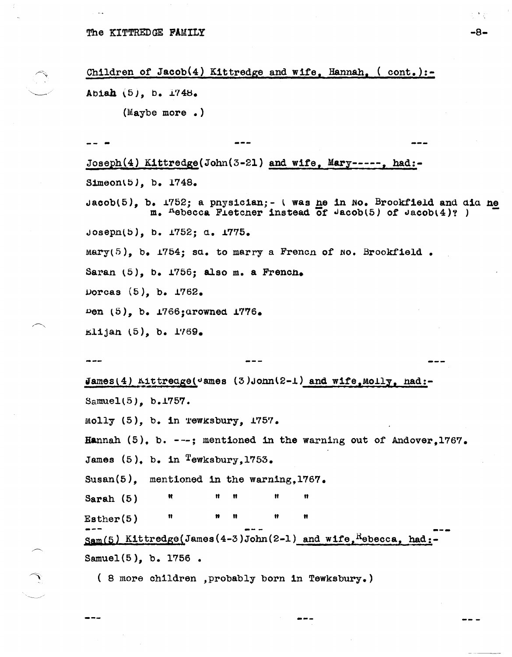Children of Jacob(4) Kittredge and wife, Hannah,  $($  cont.):-Abiah  $(5)$ , b.  $1748$ .  $(Maybe more.)$ Joseph(4) Kittredge(John(3-21) and wife, Mary-----, had:-Simeon(5), b. 1748. Jacob(5), b. 1752; a pnysician; - ( was ne in No. Brookfield and did ne m. "ebecca Fietcher instead of  $\sqrt{a}$  (5) of  $\sqrt{a}$  (4)?) Joseph(5), b. 1752; d. 1775.  $Mary(5)$ , b. 1754; sa. to marry a French of No. Brookfield. Saran (5), b. 1756; also m. a French. Dorcas  $(5)$ , b. 1762. Den (5), b. 1766; arowned 1776.  $\text{E1ijan} (5)$ , b. 1769. James(4) Aittredge( $\text{vames}$  (3)John(2-1) and wife, Molly, had:-Samuel(5), b.1757. Molly (5), b. in rewksbury, 1757. Hannah  $(5)$ , b. ---; mentioned in the warning out of Andover, 1767. James  $(5)$ , b. in Tewksbury, 1753. Susan $(5)$ , mentioned in the warning, 1767. Ħ Sarah  $(5)$  $Esther(5)$  $\text{Sam}(5)$  Kittredge(James(4-3)John(2-1) and wife, Hebecca, had: Samuel(5), b. 1756. (8 more children , probably born in Tewksbury.)

-8-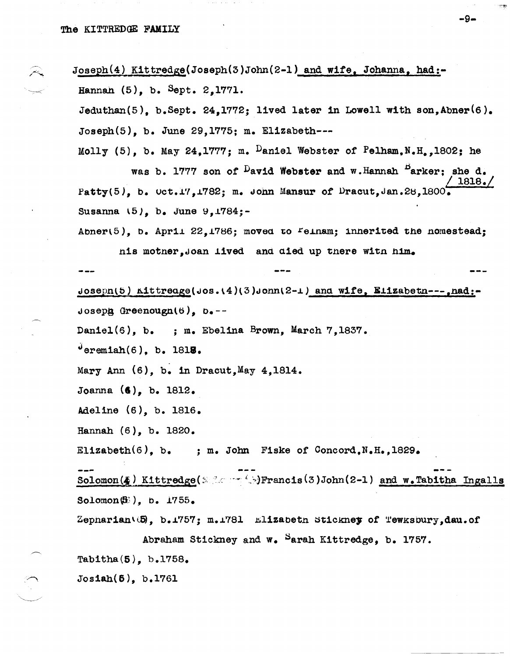Joseph(4) Kittredge(Joseph(3)John(2-1) and wife, Johanna, had:-Hannah (5), b. Sept. 2,1771.

Jeduthan(5), b.Sept. 24,1772; lived later in Lowell with son, Abner(6).  $Joseph(5)$ , b. June 29,1775; m. Elizabeth---

Molly (5), b. May 24, 1777; m. Daniel Webster of Pelham, N.H., 1802; he

was b. 1777 son of <sup>D</sup>avid Webster and w.Hannah <sup>B</sup>arker; she d.  $1818.7$ Patty(5), b. Oct.17, 1782; m. John Mansur of Dracut, Jan.28, 1800. Susanna  $(5)$ , b. June 9, 1784;-

Abner(5), b. April 22,1786; moved to Felnam; innerited the nomestead;

nis mother, Joan lived and died up there with him.

Joseph(5) Kittreage(Jos.(4)(3)John(2-1) and wife, Elizabeth --- , had:- $\log_{10}$  Greenough(6), b.--

Daniel(6), b. ; m. Ebelina Brown, March 7,1837.

 $^{\circ}$ eremiah $(6)$ , b. 1818.

Mary Ann  $(6)$ , b. in Dracut, May 4, 1814.

Joanna  $(4)$ , b. 1812.

Adeline (6), b. 1816.

Hannah  $(6)$ , b. 1820.

Elizabeth(6), b. ; m. John Fiske of Concord, N.H., 1829.

Solomon(4) Kittredge( Second September 13) John(2-1) and w. Tabitha Ingalls Solomon $\left(\overline{5}\right)$ , b.  $1755$ .

Zepharian(5), b.1757; m.1781 Elizabeth Stickney of Tewksbury, dau. of Abraham Stickney and w. Sarah Kittredge, b. 1757.

Tabitha $(5)$ , b.1758.

 $Jos<sub>4</sub>(5)$ ,  $b<sub>1</sub>761$ 

 $-9-$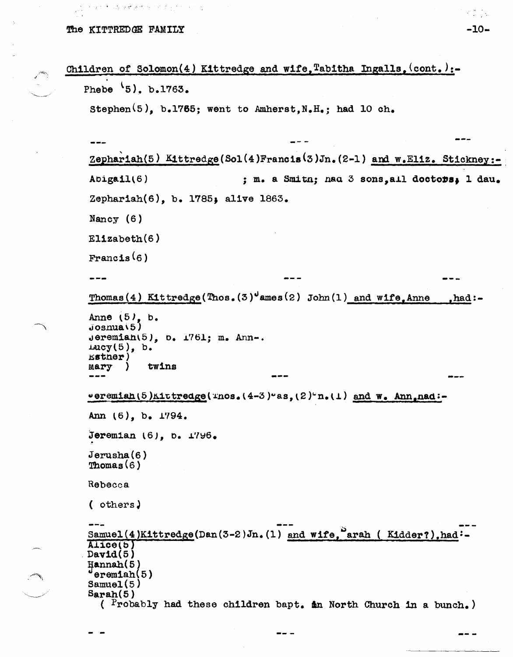ほうげいふな ほ 姉 液 代の死 アデ アートプリート

```
Children of Solomon(4) Kittredge and wife, Tabitha Ingalls. (cont.):-
Phebe 5, b.1763.
 Stephen<sup>(5)</sup>, b.1765; went to Amherst, N.H_*; had 10 ch.
 Zephariah(5) Kittredge(Sol(4)Francis(3)Jn.(2-1) and w.Eliz. Stickney:-
 Abigail(6); m. a Smitn; nad 3 sons.all doctors. 1 dau.
 Zephariah(6), b. 1785; alive 1863.
 Nancy (6)E11zabeth(6)Francis(6)\frac{1}{2}Thomas (4) Kittredge (Thos. (3)^{J}ames (2) John (1) and wife Anne
                                                                   . had: -Anne (5), b.
 Josnu(5)jeremian(5), o. 1761; m. Ann-.\text{mag}(5), b.
 Esther)
           twins
 Mary
       - 1
 veremiah(5)Kittredge(Thos. (4-3)"as, (2)"n. (1) and w. Ann. nad:-
 Ann (6), b. 1794.
 Jeremian (6), b. 1796.
 Jerusha(6)Thomas(6)Rebecca
 ( others)
 Samuel(4)Kittredge(Dan(3-2)Jn.(1) and wife, arah (Kidder?), had:-
 AIice(5)David(5)Hannah(5)erom<sub>1</sub>ah(5)Samuel(5)Sarah(5)( Probably had these children bapt. in North Church in a bunch.)
```
st ja  $-10-$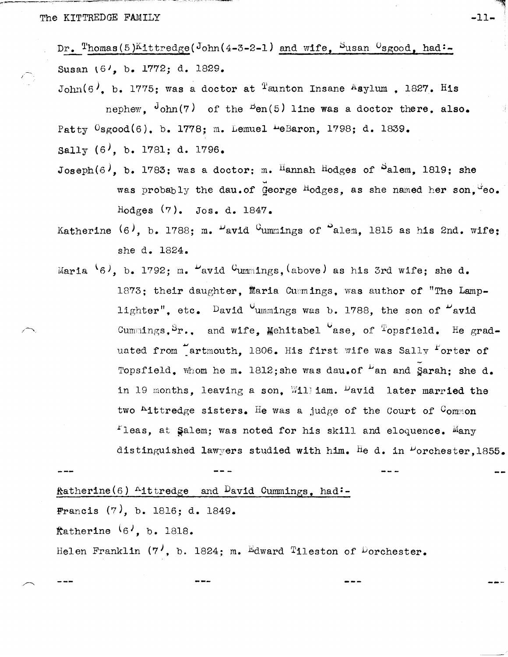Dr. Thomas (5) Kittredge (John (4-3-2-1) and wife, Susan  $0$ sgood, had:-Susan (6', b. 1772; d. 1829.

 $\mathrm{John}(6)$ , b. 1775; was a doctor at <sup>T</sup>aunton Insane Asylum , 1827. His nephew.  $\frac{J_{\text{ohn}}(\gamma)}{J_{\text{ohn}}(\gamma)}$  of the  $\frac{B_{\text{en}}(5)}{J_{\text{thn}}}$  was a doctor there, also. Patty <sup>O</sup>sgood(6), b. 1778; m. Lemuel <sup>L</sup>eBaron, 1798; d. 1839.

Sally  $(6)$ , b. 1781; d. 1796.

Joseph(6), b. 1783; was a doctor: m. Hannah Hodges of  $S$ alem. 1819; she was probably the dau.of George Hodges, as she named her son, teo. Hodges  $(7)$ . Jos. d. 1847.

Katherine  $(6)$ , b. 1788; m.  $\nu$ avid <sup>C</sup>ummings of  $\Omega$ alem. 1815 as his 2nd. wife; she d. 1824.

Maria  $(6)$ , b. 1792; m.  $\mu$ avid  $C$ ummings, (above) as his 3rd wife; she d. 1873: their daughter, Maria Cumnings, was author of "The Lamplighter", etc. David <sup>C</sup>ummings was b. 1788, the son of <sup>L'</sup>avid Cummings.  $S_r$ ., and wife. Mehitabel ase, of  $T$ opsfield. He graduated from artmouth, 1806. His first wife was Sally Forter of Topsfield. Whom he m. 1812; she was dau.of  $\mu$ an and Sarah: she d. in 19 months, leaving a son. Will iam. <sup>D</sup>avid later married the two "ittredge sisters. He was a judge of the Court of  $\mathcal{C}_{\text{ommon}}$  ${}^{\text{I}}$ leas, at Salem; was noted for his skill and eloquence. Many distinguished lawyers studied with him. He d. in  $\nu$ orchester, 1855.

 $k$ atherine(6) <sup>A</sup>ittredge and <sup>D</sup>avid Cummings, had:-Francis  $(7)$ , b. 1816; d. 1849. fatherine  $(6', b, 1818,$ Helen Franklin  $(7^{\prime}, b. 1824; m.$  Edward Tileston of Dorchester.  $-11-$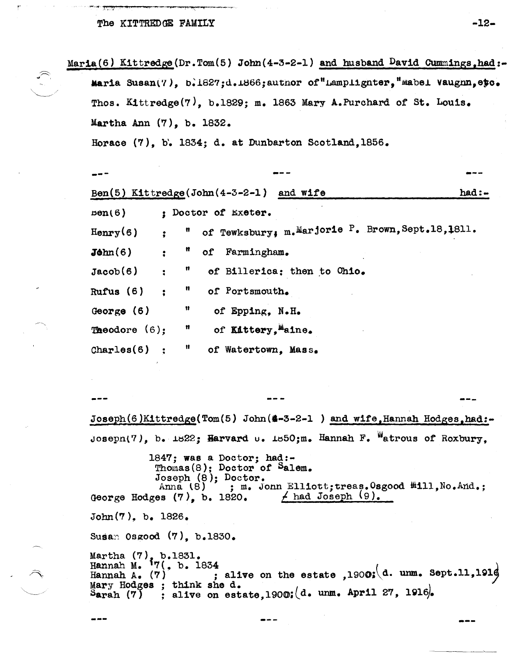77 N.Y. 2007

and the property of the

|                                                                   |                                                                                     |                |              | Maria(6) Kittredge(Dr.Tom(5) John(4-3-2-1) and husband David Cummings, had:-    |            |  |  |
|-------------------------------------------------------------------|-------------------------------------------------------------------------------------|----------------|--------------|---------------------------------------------------------------------------------|------------|--|--|
|                                                                   |                                                                                     |                |              | Maria Susan(7), b.1627;d.1866;author of"Lamplighter,"mabel Vaughn, etc.         |            |  |  |
| Thos. Kittredge(7), b.1829; m. 1863 Mary A.Purchard of St. Louis. |                                                                                     |                |              |                                                                                 |            |  |  |
|                                                                   | Martha Ann $(7)$ , b. 1832.<br>Horace (7), b. 1834; d. at Dunbarton Scotland, 1856. |                |              |                                                                                 |            |  |  |
|                                                                   |                                                                                     |                |              |                                                                                 |            |  |  |
|                                                                   |                                                                                     |                |              |                                                                                 |            |  |  |
|                                                                   |                                                                                     |                |              |                                                                                 |            |  |  |
|                                                                   |                                                                                     |                |              | Ben(5) Kittredge(John(4-3-2-1) and wife                                         | $had:$ $-$ |  |  |
|                                                                   | pen(6)                                                                              |                |              | : Doctor of Exeter.                                                             |            |  |  |
|                                                                   | $Henry(6)$ :                                                                        |                |              | " of Tewksbury, m. Marjorie P. Brown, Sept. 18, 1811.                           |            |  |  |
|                                                                   | $\text{John}(6)$                                                                    | $\ddot{\cdot}$ |              | " of Farmingham.                                                                |            |  |  |
|                                                                   | Jacob(6)                                                                            | $\ddot{\cdot}$ | $\mathbf{u}$ | of Billerica: then to Ohio.                                                     |            |  |  |
|                                                                   | Rufus $(6)$                                                                         | $\ddot{\cdot}$ |              | " of Portsmouth.                                                                |            |  |  |
|                                                                   | George $(6)$                                                                        |                | $\mathbf{H}$ | of Epping, N.H.                                                                 |            |  |  |
|                                                                   |                                                                                     |                |              | <b>Theodore</b> $(6)$ : $\blacksquare$ of <b>Kittery</b> , $\blacksquare$ aine. |            |  |  |
|                                                                   | Chomlocal@A                                                                         |                |              | $\mathbb{I}$ of $\mathbb{I}$ otentown Moor                                      |            |  |  |

Joseph(6)Kittredge(Tom(5) John(#-3-2-1) and wife, Hannah Hodges, had:-Joseph(7), b. 1822; Harvard  $\cup$ . 1850; m. Hannah F. Watrous of Roxbury.

1847; was a Doctor; had:-Thomas $(8)$ ; Doctor of Salem. Joseph (8); Doctor.<br>Anna (8) ; m. Jonn Elliott; treas. Osgood #111, No. And.; George Hodges  $(7)$ , b. 1820.  $\neq$  had Joseph  $(9)$ .  $John(7)$ , b. 1826.

Susan Osgood (7), b.1830.

Martha  $(7)$ , b.1831.<br>Hannah M.  $\frac{17}{7}$ , b. 1834 ; alive on the estate , 1900; (d. unm. Sept.11, 191 $\phi$ Hannah A.  $(7)$ Mary Hodges ; think she d. Sarah (7) ; alive on estate, 1900;  $(d.$  unm. April 27, 1916.

 $-12-$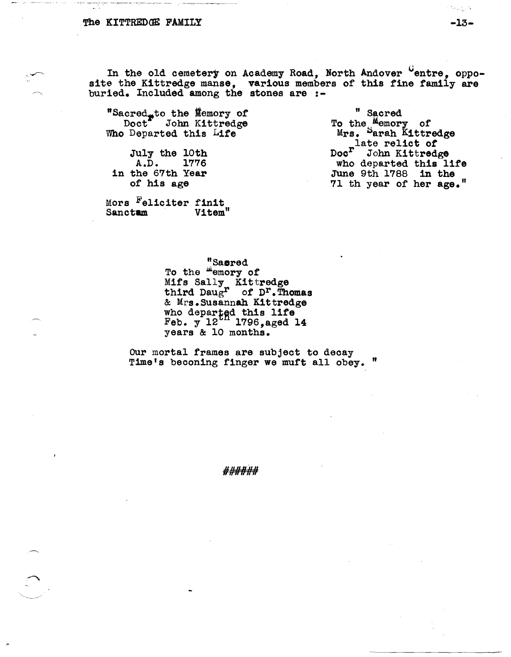In the old cemetery on Academy Road, North Andover Centre, opposite the Kittredge manse, various members of this fine family are buried. Included among the stones are :-

"Sacred<sub>r</sub>to the Nemory of Doct<sup>\*</sup> John Kittredge Who Departed this Life

July the 10th  $A.D.$  1776 in the 67th Year of his age

Mors Feliciter finit Vitem" Sanctam

" Sacred To the Memory of Mrs. Sarah Kittredge nate relict of Doc<sup>r</sup> John Kittredge who departed this life<br>June 9th 1788 in the 71 th year of her age."

"Sasred<br>To the "emory of Mifs Sally Kittredge<br>third Daug<sup>r</sup> of D<sup>r</sup>. Thomas & Mrs.Susannah Kittredge who departed this life<br>Feb. y 12 1796, aged 14 years & 10 months.

Our mortal frames are subject to decay Time's beconing finger we muft all obey. "

######